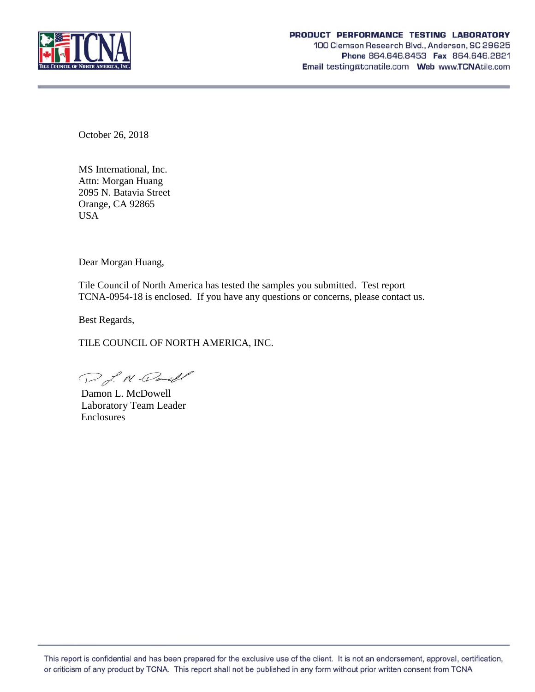

October 26, 2018

MS International, Inc. Attn: Morgan Huang 2095 N. Batavia Street Orange, CA 92865 USA

Dear Morgan Huang,

Tile Council of North America has tested the samples you submitted. Test report TCNA-0954-18 is enclosed. If you have any questions or concerns, please contact us.

Best Regards,

TILE COUNCIL OF NORTH AMERICA, INC.

D. J. M. Daniel

Damon L. McDowell Laboratory Team Leader Enclosures

This report is confidential and has been prepared for the exclusive use of the client. It is not an endorsement, approval, certification, or criticism of any product by TCNA. This report shall not be published in any form without prior written consent from TCNA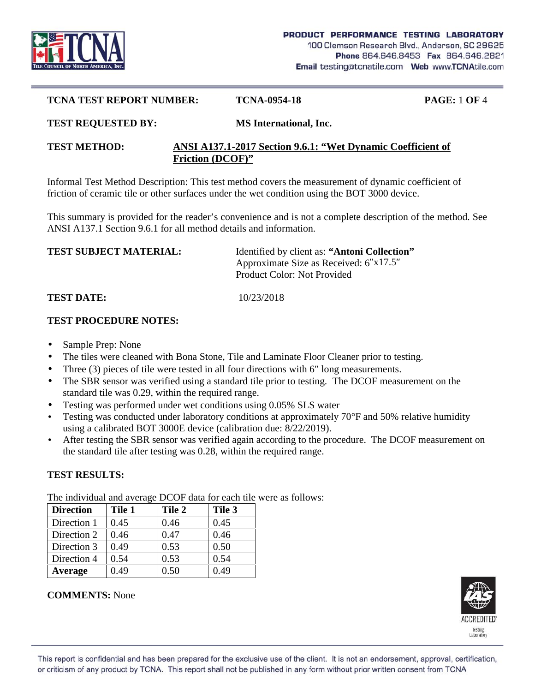

#### **TCNA TEST REPORT NUMBER: TCNA-0954-18 PAGE:** 1 **OF** 4

#### **TEST REQUESTED BY: MS International, Inc.**

### **TEST METHOD: ANSI A137.1-2017 Section 9.6.1: "Wet Dynamic Coefficient of Friction (DCOF)"**

Informal Test Method Description: This test method covers the measurement of dynamic coefficient of friction of ceramic tile or other surfaces under the wet condition using the BOT 3000 device.

This summary is provided for the reader's convenience and is not a complete description of the method. See ANSI A137.1 Section 9.6.1 for all method details and information.

| <b>TEST SUBJECT MATERIAL:</b> | Identified by client as: "Antoni Collection" |
|-------------------------------|----------------------------------------------|
|                               | Approximate Size as Received: 6 x17.5        |
|                               | Product Color: Not Provided                  |

### **TEST DATE:** 10/23/2018

### **TEST PROCEDURE NOTES:**

- Sample Prep: None
- The tiles were cleaned with Bona Stone, Tile and Laminate Floor Cleaner prior to testing.
- Three (3) pieces of tile were tested in all four directions with 6 long measurements.
- The SBR sensor was verified using a standard tile prior to testing. The DCOF measurement on the standard tile was 0.29, within the required range.
- Testing was performed under wet conditions using 0.05% SLS water
- Testing was conducted under laboratory conditions at approximately 70°F and 50% relative humidity using a calibrated BOT 3000E device (calibration due: 8/22/2019).
- After testing the SBR sensor was verified again according to the procedure. The DCOF measurement on the standard tile after testing was 0.28, within the required range.

# **TEST RESULTS:**

**Direction Tile 1 Tile 2 Tile 3** Direction 1 |  $0.45$  |  $0.46$  |  $0.45$ Direction 2 |  $0.46$  |  $0.47$  |  $0.46$ Direction 3 |  $0.49$  |  $0.53$  |  $0.50$ Direction 4  $\vert 0.54 \vert 0.53 \vert 0.54$ **Average** 0.49 0.50 0.49

The individual and average DCOF data for each tile were as follows:



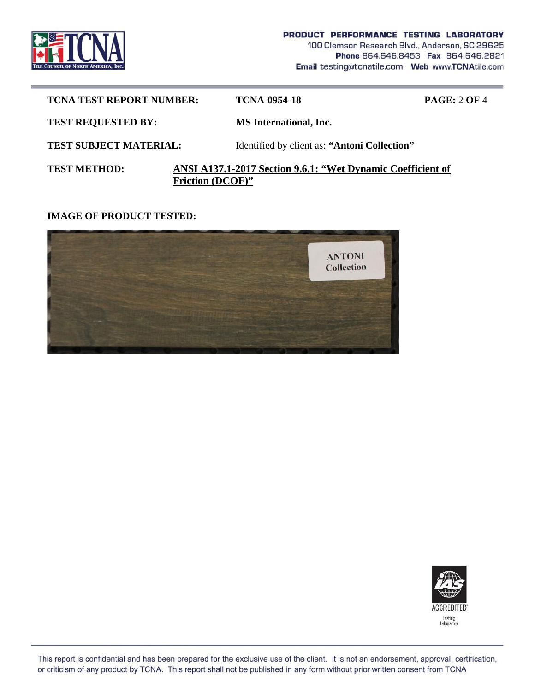

| <b>TCNA TEST REPORT NUMBER:</b> |                         | <b>TCNA-0954-18</b>                                         | <b>PAGE: 2 OF 4</b> |
|---------------------------------|-------------------------|-------------------------------------------------------------|---------------------|
| <b>TEST REQUESTED BY:</b>       |                         | <b>MS</b> International, Inc.                               |                     |
| <b>TEST SUBJECT MATERIAL:</b>   |                         | Identified by client as: "Antoni Collection"                |                     |
| <b>TEST METHOD:</b>             | <b>Friction (DCOF)"</b> | ANSI A137.1-2017 Section 9.6.1: "Wet Dynamic Coefficient of |                     |

## **IMAGE OF PRODUCT TESTED:**





This report is confidential and has been prepared for the exclusive use of the client. It is not an endorsement, approval, certification, or criticism of any product by TCNA. This report shall not be published in any form without prior written consent from TCNA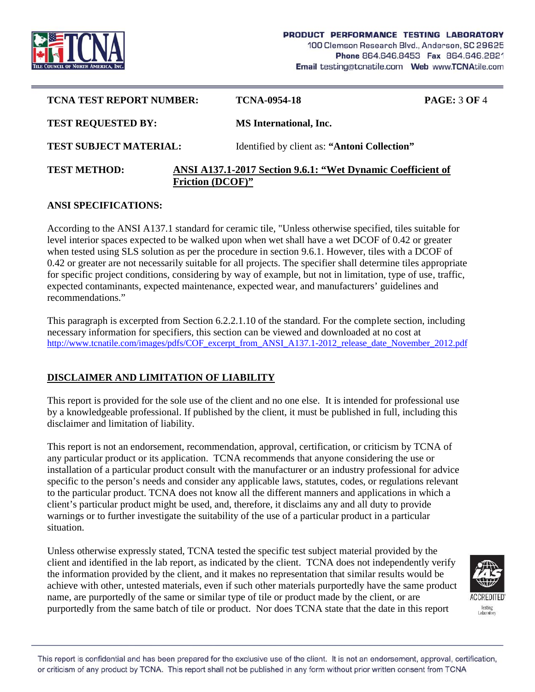

| <b>TCNA TEST REPORT NUMBER:</b> |                         | TCNA-0954-18                                                | <b>PAGE: 3 OF 4</b> |
|---------------------------------|-------------------------|-------------------------------------------------------------|---------------------|
| <b>TEST REQUESTED BY:</b>       |                         | <b>MS</b> International, Inc.                               |                     |
| <b>TEST SUBJECT MATERIAL:</b>   |                         | Identified by client as: "Antoni Collection"                |                     |
| <b>TEST METHOD:</b>             | <b>Friction (DCOF)"</b> | ANSI A137.1-2017 Section 9.6.1: "Wet Dynamic Coefficient of |                     |

### **ANSI SPECIFICATIONS:**

According to the ANSI A137.1 standard for ceramic tile, "Unless otherwise specified, tiles suitable for level interior spaces expected to be walked upon when wet shall have a wet DCOF of 0.42 or greater when tested using SLS solution as per the procedure in section 9.6.1. However, tiles with a DCOF of 0.42 or greater are not necessarily suitable for all projects. The specifier shall determine tiles appropriate for specific project conditions, considering by way of example, but not in limitation, type of use, traffic, expected contaminants, expected maintenance, expected wear, and manufacturers' guidelines and recommendations."

This paragraph is excerpted from Section 6.2.2.1.10 of the standard. For the complete section, including necessary information for specifiers, this section can be viewed and downloaded at no cost at http://www.tcnatile.com/images/pdfs/COF\_excerpt\_from\_ANSI\_A137.1-2012\_release\_date\_November\_2012.pdf

# **DISCLAIMER AND LIMITATION OF LIABILITY**

This report is provided for the sole use of the client and no one else. It is intended for professional use by a knowledgeable professional. If published by the client, it must be published in full, including this disclaimer and limitation of liability.

This report is not an endorsement, recommendation, approval, certification, or criticism by TCNA of any particular product or its application. TCNA recommends that anyone considering the use or installation of a particular product consult with the manufacturer or an industry professional for advice specific to the person's needs and consider any applicable laws, statutes, codes, or regulations relevant to the particular product. TCNA does not know all the different manners and applications in which a client's particular product might be used, and, therefore, it disclaims any and all duty to provide warnings or to further investigate the suitability of the use of a particular product in a particular situation.

Unless otherwise expressly stated, TCNA tested the specific test subject material provided by the client and identified in the lab report, as indicated by the client. TCNA does not independently verify the information provided by the client, and it makes no representation that similar results would be achieve with other, untested materials, even if such other materials purportedly have the same product name, are purportedly of the same or similar type of tile or product made by the client, or are purportedly from the same batch of tile or product. Nor does TCNA state that the date in this report



This report is confidential and has been prepared for the exclusive use of the client. It is not an endorsement, approval, certification, or criticism of any product by TCNA. This report shall not be published in any form without prior written consent from TCNA